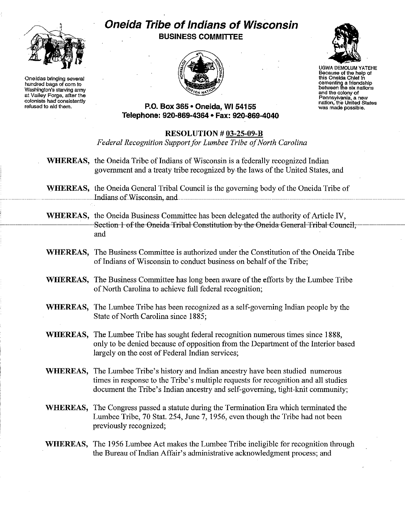

**Oneidas bringing several hundredbags of corn to Washington's starving army at Valley Forge, after the colonists had consistently refused to aid them.**

## **Oneida Tribe ofIndians of Wisconsin BUSINESS COMMITTEE**





UGWA DEMOLUM YATEHE **Because of the help of this Oneida Chief in oementing a friendship between the six nations and the colony of Pennsylvania, a new nation,the United States was made possible.**

## **P.O. Box 365 • Oneida, WI 54155 Telephone: 920-869-4364' Fax: 920-869-4040**

## **RESOLUTION # 03-25-09-B**

*Federal Recognition Support for Lumbee Tribe of North Carolina* 

- **WHEREAS,** the Oneida Tribe of Indians of Wisconsin is a federally recognized Indian government and a treaty tribe recognized by the laws ofthe United States, and
- **WHEREAS,** the Oneida General Tribal Council is the governing body of the Oneida Tribe of Indians of Wisconsin, and
- **WHEREAS,** the Oneida Business Committee has been delegated the authority of Article IV, Section 1 of the Oneida Tribal Constitution by the Oneida General Tribal Council, and
- WHEREAS, The Business Committee is authorized under the Constitution of the Oneida Tribe of Indians of Wisconsin to conduct business on behalf of the Tribe;
- **WHEREAS,** The Business Committee has long been aware of the efforts by the Lumbee Tribe of North Carolina to achieve full federal recognition;
- **WHEREAS,** The Lumbee Tribe has been recognized as a self-governing Indian people by the State of North Carolina since 1885;
- **WHEREAS,** The Lumbee Tribe has sought federaI recognition numerous times since 1888, only to be denied because of opposition from the Department of the Interior based largely on the cost of Federal Indian services;
- **WHEREAS,** The Lumbee Tribe's history and Indian ancestry have been studied numerous times in response to the Tribe's multiple requests for recognition and all studies document the Tribe's Indian ancestry and self-governing, tight-knit community;
- **WHEREAS,** The Congress passed a statute during the Termination Era which terminated the Lumbee Tribe, 70 Stat. 254, June 7, 1956, even though the Tribe had not been previously recognized;
- **WHEREAS,** The 1956 Lumbee Act makes the Lumbee Tribe ineligible for recognition through the Bureau of Indian Affair's administrative acknowledgment process; and